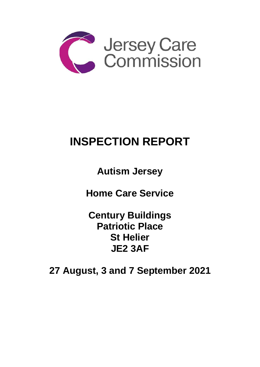

# **INSPECTION REPORT**

**Autism Jersey** 

**Home Care Service** 

**Century Buildings Patriotic Place St Helier JE2 3AF**

**27 August, 3 and 7 September 2021**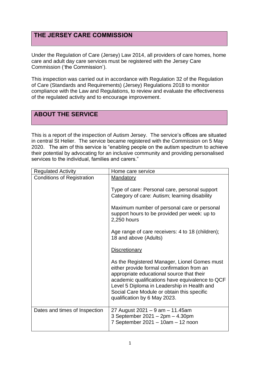## **THE JERSEY CARE COMMISSION**

Under the Regulation of Care (Jersey) Law 2014, all providers of care homes, home care and adult day care services must be registered with the Jersey Care Commission ('the Commission').

This inspection was carried out in accordance with Regulation 32 of the Regulation of Care (Standards and Requirements) (Jersey) Regulations 2018 to monitor compliance with the Law and Regulations, to review and evaluate the effectiveness of the regulated activity and to encourage improvement.

## **ABOUT THE SERVICE**

This is a report of the inspection of Autism Jersey. The service's offices are situated in central St Helier. The service became registered with the Commission on 5 May 2020. The aim of this service is "enabling people on the autism spectrum to achieve their potential by advocating for an inclusive community and providing personalised services to the individual, families and carers."

| <b>Regulated Activity</b>         | Home care service                                                                                                                                                                                                                                                                                                       |
|-----------------------------------|-------------------------------------------------------------------------------------------------------------------------------------------------------------------------------------------------------------------------------------------------------------------------------------------------------------------------|
| <b>Conditions of Registration</b> | <b>Mandatory</b>                                                                                                                                                                                                                                                                                                        |
|                                   | Type of care: Personal care, personal support<br>Category of care: Autism; learning disability                                                                                                                                                                                                                          |
|                                   | Maximum number of personal care or personal<br>support hours to be provided per week: up to<br>2,250 hours                                                                                                                                                                                                              |
|                                   | Age range of care receivers: 4 to 18 (children);<br>18 and above (Adults)                                                                                                                                                                                                                                               |
|                                   | <b>Discretionary</b>                                                                                                                                                                                                                                                                                                    |
|                                   | As the Registered Manager, Lionel Gomes must<br>either provide formal confirmation from an<br>appropriate educational source that their<br>academic qualifications have equivalence to QCF<br>Level 5 Diploma in Leadership in Health and<br>Social Care Module or obtain this specific<br>qualification by 6 May 2023. |
| Dates and times of Inspection     | 27 August 2021 - 9 am - 11.45am<br>3 September 2021 - 2pm - 4.30pm<br>7 September 2021 - 10am - 12 noon                                                                                                                                                                                                                 |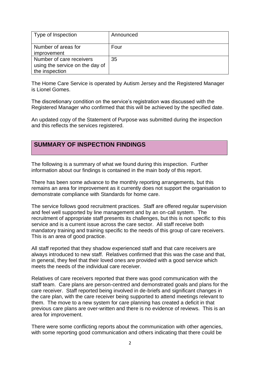| Type of Inspection                                          | Announced |
|-------------------------------------------------------------|-----------|
| Number of areas for<br>improvement                          | Four      |
| Number of care receivers<br>using the service on the day of | 35        |
| the inspection                                              |           |

The Home Care Service is operated by Autism Jersey and the Registered Manager is Lionel Gomes.

The discretionary condition on the service's registration was discussed with the Registered Manager who confirmed that this will be achieved by the specified date.

An updated copy of the Statement of Purpose was submitted during the inspection and this reflects the services registered.

### **SUMMARY OF INSPECTION FINDINGS**

The following is a summary of what we found during this inspection. Further information about our findings is contained in the main body of this report.

There has been some advance to the monthly reporting arrangements, but this remains an area for improvement as it currently does not support the organisation to demonstrate compliance with Standards for home care.

The service follows good recruitment practices. Staff are offered regular supervision and feel well supported by line management and by an on-call system. The recruitment of appropriate staff presents its challenges, but this is not specific to this service and is a current issue across the care sector. All staff receive both mandatory training and training specific to the needs of this group of care receivers. This is an area of good practice.

All staff reported that they shadow experienced staff and that care receivers are always introduced to new staff. Relatives confirmed that this was the case and that, in general, they feel that their loved ones are provided with a good service which meets the needs of the individual care receiver.

Relatives of care receivers reported that there was good communication with the staff team. Care plans are person-centred and demonstrated goals and plans for the care receiver. Staff reported being involved in de-briefs and significant changes in the care plan, with the care receiver being supported to attend meetings relevant to them. The move to a new system for care planning has created a deficit in that previous care plans are over-written and there is no evidence of reviews. This is an area for improvement.

There were some conflicting reports about the communication with other agencies, with some reporting good communication and others indicating that there could be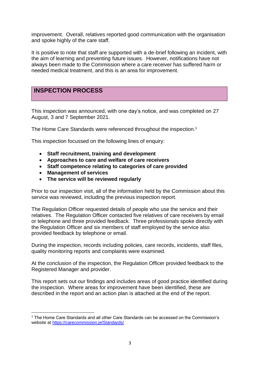improvement. Overall, relatives reported good communication with the organisation and spoke highly of the care staff.

It is positive to note that staff are supported with a de-brief following an incident, with the aim of learning and preventing future issues. However, notifications have not always been made to the Commission where a care receiver has suffered harm or needed medical treatment, and this is an area for improvement.

## **INSPECTION PROCESS**

This inspection was announced, with one day's notice, and was completed on 27 August, 3 and 7 September 2021.

The Home Care Standards were referenced throughout the inspection.<sup>1</sup>

This inspection focussed on the following lines of enquiry:

- **Staff recruitment, training and development**
- **Approaches to care and welfare of care receivers**
- **Staff competence relating to categories of care provided**
- **Management of services**
- **The service will be reviewed regularly**

Prior to our inspection visit, all of the information held by the Commission about this service was reviewed, including the previous inspection report.

The Regulation Officer requested details of people who use the service and their relatives. The Regulation Officer contacted five relatives of care receivers by email or telephone and three provided feedback. Three professionals spoke directly with the Regulation Officer and six members of staff employed by the service also provided feedback by telephone or email.

During the inspection, records including policies, care records, incidents, staff files, quality monitoring reports and complaints were examined.

At the conclusion of the inspection, the Regulation Officer provided feedback to the Registered Manager and provider.

This report sets out our findings and includes areas of good practice identified during the inspection. Where areas for improvement have been identified, these are described in the report and an action plan is attached at the end of the report.

<sup>1</sup> The Home Care Standards and all other Care Standards can be accessed on the Commission's website at [https://carecommission.je/Standards/](https://carecommission.je/standards/)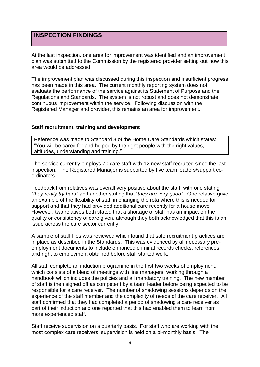## **INSPECTION FINDINGS**

At the last inspection, one area for improvement was identified and an improvement plan was submitted to the Commission by the registered provider setting out how this area would be addressed.

The improvement plan was discussed during this inspection and insufficient progress has been made in this area. The current monthly reporting system does not evaluate the performance of the service against its Statement of Purpose and the Regulations and Standards. The system is not robust and does not demonstrate continuous improvement within the service. Following discussion with the Registered Manager and provider, this remains an area for improvement.

#### **Staff recruitment, training and development**

Reference was made to Standard 3 of the Home Care Standards which states: "You will be cared for and helped by the right people with the right values, attitudes, understanding and training."

The service currently employs 70 care staff with 12 new staff recruited since the last inspection. The Registered Manager is supported by five team leaders/support coordinators.

Feedback from relatives was overall very positive about the staff, with one stating "*they really try hard*" and another stating that "*they are very good*". One relative gave an example of the flexibility of staff in changing the rota where this is needed for support and that they had provided additional care recently for a house move. However, two relatives both stated that a shortage of staff has an impact on the quality or consistency of care given, although they both acknowledged that this is an issue across the care sector currently.

A sample of staff files was reviewed which found that safe recruitment practices are in place as described in the Standards. This was evidenced by all necessary preemployment documents to include enhanced criminal records checks, references and right to employment obtained before staff started work.

All staff complete an induction programme in the first two weeks of employment, which consists of a blend of meetings with line managers, working through a handbook which includes the policies and all mandatory training. The new member of staff is then signed off as competent by a team leader before being expected to be responsible for a care receiver. The number of shadowing sessions depends on the experience of the staff member and the complexity of needs of the care receiver. All staff confirmed that they had completed a period of shadowing a care receiver as part of their induction and one reported that this had enabled them to learn from more experienced staff.

Staff receive supervision on a quarterly basis. For staff who are working with the most complex care receivers, supervision is held on a bi-monthly basis. The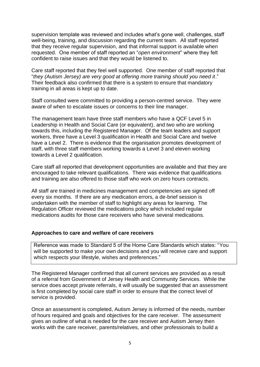supervision template was reviewed and includes what's gone well, challenges, staff well-being, training, and discussion regarding the current team. All staff reported that they receive regular supervision, and that informal support is available when requested. One member of staff reported an "*open environment*" where they felt confident to raise issues and that they would be listened to.

Care staff reported that they feel well supported. One member of staff reported that "*they (Autism Jersey) are very good at offering more training should you need it*." Their feedback also confirmed that there is a system to ensure that mandatory training in all areas is kept up to date.

Staff consulted were committed to providing a person-centred service. They were aware of when to escalate issues or concerns to their line manager.

The management team have three staff members who have a QCF Level 5 in Leadership in Health and Social Care (or equivalent), and two who are working towards this, including the Registered Manager. Of the team leaders and support workers, three have a Level 3 qualification in Health and Social Care and twelve have a Level 2. There is evidence that the organisation promotes development of staff, with three staff members working towards a Level 3 and eleven working towards a Level 2 qualification.

Care staff all reported that development opportunities are available and that they are encouraged to take relevant qualifications. There was evidence that qualifications and training are also offered to those staff who work on zero hours contracts.

All staff are trained in medicines management and competencies are signed off every six months. If there are any medication errors, a de-brief session is undertaken with the member of staff to highlight any areas for learning. The Regulation Officer reviewed the medications policy which included regular medications audits for those care receivers who have several medications.

#### **Approaches to care and welfare of care receivers**

Reference was made to Standard 5 of the Home Care Standards which states: "You will be supported to make your own decisions and you will receive care and support which respects your lifestyle, wishes and preferences."

The Registered Manager confirmed that all current services are provided as a result of a referral from Government of Jersey Health and Community Services. While the service does accept private referrals, it will usually be suggested that an assessment is first completed by social care staff in order to ensure that the correct level of service is provided.

Once an assessment is completed, Autism Jersey is informed of the needs, number of hours required and goals and objectives for the care receiver. The assessment gives an outline of what is needed for the care receiver and Autism Jersey then works with the care receiver, parents/relatives, and other professionals to build a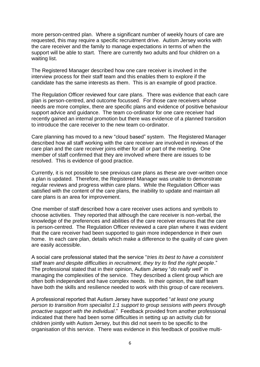more person-centred plan. Where a significant number of weekly hours of care are requested, this may require a specific recruitment drive. Autism Jersey works with the care receiver and the family to manage expectations in terms of when the support will be able to start. There are currently two adults and four children on a waiting list.

The Registered Manager described how one care receiver is involved in the interview process for their staff team and this enables them to explore if the candidate has the same interests as them. This is an example of good practice.

The Regulation Officer reviewed four care plans. There was evidence that each care plan is person-centred, and outcome focussed. For those care receivers whose needs are more complex, there are specific plans and evidence of positive behaviour support advice and guidance. The team co-ordinator for one care receiver had recently gained an internal promotion but there was evidence of a planned transition to introduce the care receiver to the new team co-ordinator.

Care planning has moved to a new "cloud based" system. The Registered Manager described how all staff working with the care receiver are involved in reviews of the care plan and the care receiver joins either for all or part of the meeting. One member of staff confirmed that they are involved where there are issues to be resolved. This is evidence of good practice.

Currently, it is not possible to see previous care plans as these are over-written once a plan is updated. Therefore, the Registered Manager was unable to demonstrate regular reviews and progress within care plans. While the Regulation Officer was satisfied with the content of the care plans, the inability to update and maintain all care plans is an area for improvement.

One member of staff described how a care receiver uses actions and symbols to choose activities. They reported that although the care receiver is non-verbal, the knowledge of the preferences and abilities of the care receiver ensures that the care is person-centred. The Regulation Officer reviewed a care plan where it was evident that the care receiver had been supported to gain more independence in their own home. In each care plan, details which make a difference to the quality of care given are easily accessible.

A social care professional stated that the service "*tries its best to have a consistent staff team and despite difficulties in recruitment, they try to find the right people*." The professional stated that in their opinion, Autism Jersey "*do really well*" in managing the complexities of the service. They described a client group which are often both independent and have complex needs. In their opinion, the staff team have both the skills and resilience needed to work with this group of care receivers.

A professional reported that Autism Jersey have supported "*at least one young person to transition from specialist 1:1 support to group sessions with peers through proactive support with the individual*." Feedback provided from another professional indicated that there had been some difficulties in setting up an activity club for children jointly with Autism Jersey, but this did not seem to be specific to the organisation of this service. There was evidence in this feedback of positive multi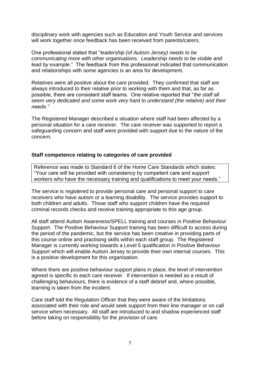disciplinary work with agencies such as Education and Youth Service and services will work together once feedback has been received from parents/carers.

One professional stated that "*leadership (of Autism Jersey) needs to be communicating more with other organisations. Leadership needs to be visible and lead by example*." The feedback from this professional indicated that communication and relationships with some agencies is an area for development.

Relatives were all positive about the care provided. They confirmed that staff are always introduced to their relative prior to working with them and that, as far as possible, there are consistent staff teams. One relative reported that "*the staff all seem very dedicated and some work very hard to understand (the relative) and their needs."*

The Registered Manager described a situation where staff had been affected by a personal situation for a care receiver. The care receiver was supported to report a safeguarding concern and staff were provided with support due to the nature of the concern.

#### **Staff competence relating to categories of care provided**

Reference was made to Standard 6 of the Home Care Standards which states: "Your care will be provided with consistency by competent care and support workers who have the necessary training and qualifications to meet your needs."

The service is registered to provide personal care and personal support to care receivers who have autism or a learning disability. The service provides support to both children and adults. Those staff who support children have the required criminal records checks and receive training appropriate to this age group.

All staff attend Autism Awareness/SPELL training and courses in Positive Behaviour Support. The Positive Behaviour Support training has been difficult to access during the period of the pandemic, but the service has been creative in providing parts of this course online and practising skills within each staff group. The Registered Manager is currently working towards a Level 5 qualification in Positive Behaviour Support which will enable Autism Jersey to provide their own internal courses. This is a positive development for this organisation.

Where there are positive behaviour support plans in place, the level of intervention agreed is specific to each care receiver. If intervention is needed as a result of challenging behaviours, there is evidence of a staff debrief and, where possible, learning is taken from the incident.

Care staff told the Regulation Officer that they were aware of the limitations associated with their role and would seek support from their line manager or on call service when necessary. All staff are introduced to and shadow experienced staff before taking on responsibility for the provision of care.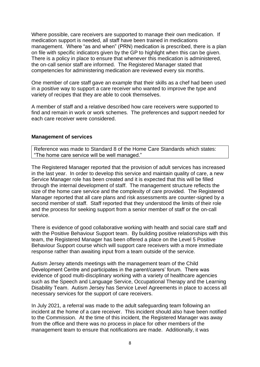Where possible, care receivers are supported to manage their own medication. If medication support is needed, all staff have been trained in medications management. Where "as and when" (PRN) medication is prescribed, there is a plan on file with specific indicators given by the GP to highlight when this can be given. There is a policy in place to ensure that whenever this medication is administered, the on-call senior staff are informed. The Registered Manager stated that competencies for administering medication are reviewed every six months.

One member of care staff gave an example that their skills as a chef had been used in a positive way to support a care receiver who wanted to improve the type and variety of recipes that they are able to cook themselves.

A member of staff and a relative described how care receivers were supported to find and remain in work or work schemes. The preferences and support needed for each care receiver were considered.

#### **Management of services**

Reference was made to Standard 8 of the Home Care Standards which states: "The home care service will be well managed."

The Registered Manager reported that the provision of adult services has increased in the last year. In order to develop this service and maintain quality of care, a new Service Manager role has been created and it is expected that this will be filled through the internal development of staff. The management structure reflects the size of the home care service and the complexity of care provided. The Registered Manager reported that all care plans and risk assessments are counter-signed by a second member of staff. Staff reported that they understood the limits of their role and the process for seeking support from a senior member of staff or the on-call service.

There is evidence of good collaborative working with health and social care staff and with the Positive Behaviour Support team. By building positive relationships with this team, the Registered Manager has been offered a place on the Level 5 Positive Behaviour Support course which will support care receivers with a more immediate response rather than awaiting input from a team outside of the service.

Autism Jersey attends meetings with the management team of the Child Development Centre and participates in the parent/carers' forum. There was evidence of good multi-disciplinary working with a variety of healthcare agencies such as the Speech and Language Service, Occupational Therapy and the Learning Disability Team. Autism Jersey has Service Level Agreements in place to access all necessary services for the support of care receivers.

In July 2021, a referral was made to the adult safeguarding team following an incident at the home of a care receiver. This incident should also have been notified to the Commission. At the time of this incident, the Registered Manager was away from the office and there was no process in place for other members of the management team to ensure that notifications are made. Additionally, it was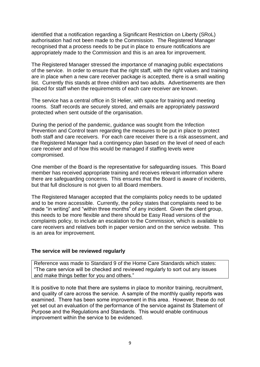identified that a notification regarding a Significant Restriction on Liberty (SRoL) authorisation had not been made to the Commission. The Registered Manager recognised that a process needs to be put in place to ensure notifications are appropriately made to the Commission and this is an area for improvement.

The Registered Manager stressed the importance of managing public expectations of the service. In order to ensure that the right staff, with the right values and training are in place when a new care receiver package is accepted, there is a small waiting list. Currently this stands at three children and two adults. Advertisements are then placed for staff when the requirements of each care receiver are known.

The service has a central office in St Helier, with space for training and meeting rooms. Staff records are securely stored, and emails are appropriately password protected when sent outside of the organisation.

During the period of the pandemic, guidance was sought from the Infection Prevention and Control team regarding the measures to be put in place to protect both staff and care receivers. For each care receiver there is a risk assessment, and the Registered Manager had a contingency plan based on the level of need of each care receiver and of how this would be managed if staffing levels were compromised.

One member of the Board is the representative for safeguarding issues. This Board member has received appropriate training and receives relevant information where there are safeguarding concerns. This ensures that the Board is aware of incidents, but that full disclosure is not given to all Board members.

The Registered Manager accepted that the complaints policy needs to be updated and to be more accessible. Currently, the policy states that complaints need to be made "in writing" and "within three months" of any incident. Given the client group, this needs to be more flexible and there should be Easy Read versions of the complaints policy, to include an escalation to the Commission, which is available to care receivers and relatives both in paper version and on the service website. This is an area for improvement.

#### **The service will be reviewed regularly**

Reference was made to Standard 9 of the Home Care Standards which states: "The care service will be checked and reviewed regularly to sort out any issues and make things better for you and others."

It is positive to note that there are systems in place to monitor training, recruitment, and quality of care across the service. A sample of the monthly quality reports was examined. There has been some improvement in this area. However, these do not yet set out an evaluation of the performance of the service against its Statement of Purpose and the Regulations and Standards. This would enable continuous improvement within the service to be evidenced.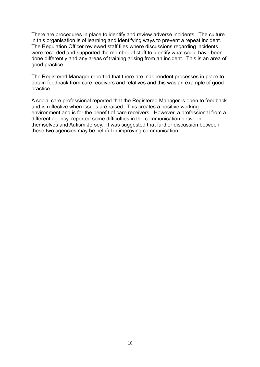There are procedures in place to identify and review adverse incidents. The culture in this organisation is of learning and identifying ways to prevent a repeat incident. The Regulation Officer reviewed staff files where discussions regarding incidents were recorded and supported the member of staff to identify what could have been done differently and any areas of training arising from an incident. This is an area of good practice.

The Registered Manager reported that there are independent processes in place to obtain feedback from care receivers and relatives and this was an example of good practice.

A social care professional reported that the Registered Manager is open to feedback and is reflective when issues are raised. This creates a positive working environment and is for the benefit of care receivers. However, a professional from a different agency, reported some difficulties in the communication between themselves and Autism Jersey. It was suggested that further discussion between these two agencies may be helpful in improving communication.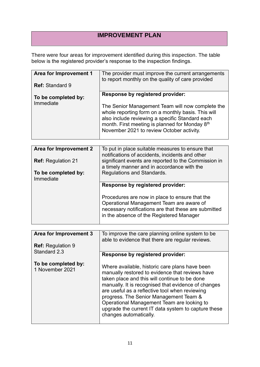## **IMPROVEMENT PLAN**

There were four areas for improvement identified during this inspection. The table below is the registered provider's response to the inspection findings.

| Area for Improvement 1<br><b>Ref: Standard 9</b> | The provider must improve the current arrangements<br>to report monthly on the quality of care provided                                                                                                                                                                                                  |
|--------------------------------------------------|----------------------------------------------------------------------------------------------------------------------------------------------------------------------------------------------------------------------------------------------------------------------------------------------------------|
| To be completed by:<br>Immediate                 | Response by registered provider:<br>The Senior Management Team will now complete the<br>whole reporting form on a monthly basis. This will<br>also include reviewing a specific Standard each<br>month. First meeting is planned for Monday 8 <sup>th</sup><br>November 2021 to review October activity. |

| Area for Improvement 2<br><b>Ref:</b> Regulation 21 | To put in place suitable measures to ensure that<br>notifications of accidents, incidents and other<br>significant events are reported to the Commission in<br>a timely manner and in accordance with the |
|-----------------------------------------------------|-----------------------------------------------------------------------------------------------------------------------------------------------------------------------------------------------------------|
| To be completed by:<br>Immediate                    | Regulations and Standards.                                                                                                                                                                                |
|                                                     | Response by registered provider:                                                                                                                                                                          |
|                                                     | Procedures are now in place to ensure that the<br>Operational Management Team are aware of<br>necessary notifications are that these are submitted<br>in the absence of the Registered Manager            |

| Area for Improvement 3                   | To improve the care planning online system to be<br>able to evidence that there are regular reviews.                                                                                                                                                                                                                                                                                                                                 |
|------------------------------------------|--------------------------------------------------------------------------------------------------------------------------------------------------------------------------------------------------------------------------------------------------------------------------------------------------------------------------------------------------------------------------------------------------------------------------------------|
| <b>Ref:</b> Regulation 9<br>Standard 2.3 |                                                                                                                                                                                                                                                                                                                                                                                                                                      |
|                                          | <b>Response by registered provider:</b>                                                                                                                                                                                                                                                                                                                                                                                              |
| To be completed by:<br>1 November 2021   | Where available, historic care plans have been<br>manually restored to evidence that reviews have<br>taken place and this will continue to be done<br>manually. It is recognised that evidence of changes<br>are useful as a reflective tool when reviewing<br>progress. The Senior Management Team &<br>Operational Management Team are looking to<br>upgrade the current IT data system to capture these<br>changes automatically. |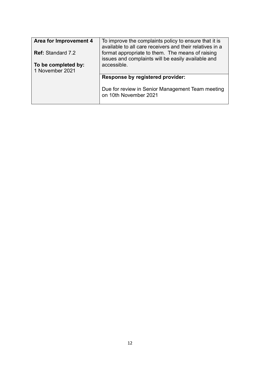| Area for Improvement 4                 | To improve the complaints policy to ensure that it is<br>available to all care receivers and their relatives in a |
|----------------------------------------|-------------------------------------------------------------------------------------------------------------------|
| <b>Ref: Standard 7.2</b>               | format appropriate to them. The means of raising<br>issues and complaints will be easily available and            |
| To be completed by:<br>1 November 2021 | accessible.                                                                                                       |
|                                        | Response by registered provider:                                                                                  |
|                                        | Due for review in Senior Management Team meeting<br>on 10th November 2021                                         |